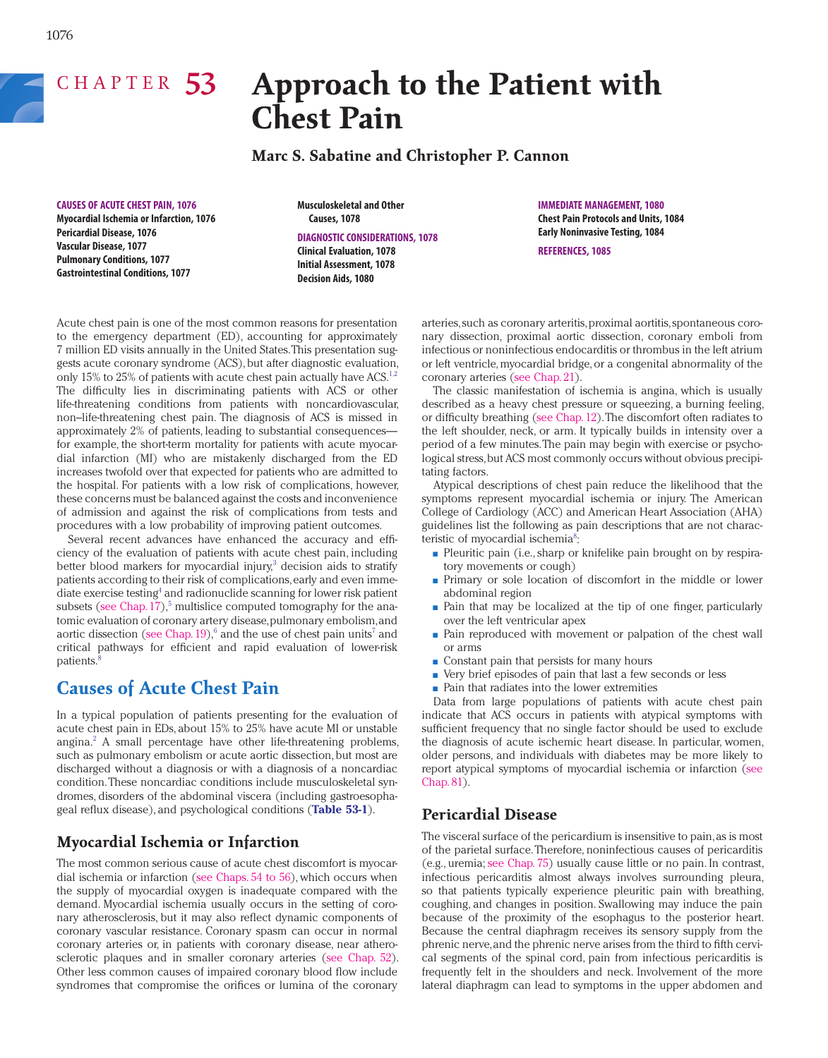## C H A P T E R 53 **Approach to the Patient with Chest Pain**

**Marc S. Sabatine and Christopher P. Cannon**

**CAUSES OF ACUTE CHEST PAIN, 1076**

**Myocardial Ischemia or Infarction, 1076 Pericardial Disease, 1076 Vascular Disease, 1077 Pulmonary Conditions, 1077 Gastrointestinal Conditions, 1077**

**Musculoskeletal and Other Causes, 1078**

**DIAGNOSTIC CONSIDERATIONS, 1078 Clinical Evaluation, 1078 Initial Assessment, 1078 Decision Aids, 1080**

**IMMEDIATE MANAGEMENT, 1080 Chest Pain Protocols and Units, 1084 Early Noninvasive Testing, 1084**

**REFERENCES, 1085**

Acute chest pain is one of the most common reasons for presentation to the emergency department (ED), accounting for approximately 7 million ED visits annually in the United States. This presentation suggests acute coronary syndrome (ACS), but after diagnostic evaluation, only 15% to 25% of patients with acute chest pain actually have ACS.<sup>[1,2](#page-9-0)</sup> The difficulty lies in discriminating patients with ACS or other life-threatening conditions from patients with noncardiovascular, non–life-threatening chest pain. The diagnosis of ACS is missed in approximately 2% of patients, leading to substantial consequences for example, the short-term mortality for patients with acute myocardial infarction (MI) who are mistakenly discharged from the ED increases twofold over that expected for patients who are admitted to the hospital. For patients with a low risk of complications, however, these concerns must be balanced against the costs and inconvenience of admission and against the risk of complications from tests and procedures with a low probability of improving patient outcomes.

Several recent advances have enhanced the accuracy and efficiency of the evaluation of patients with acute chest pain, including better blood markers for myocardial injury, $3$  decision aids to stratify patients according to their risk of complications, early and even immediate exercise testing<sup>4</sup> and radionuclide scanning for lower risk patient subsets (see Chap.  $17$ ),<sup>5</sup> multislice computed tomography for the anatomic evaluation of coronary artery disease, pulmonary embolism, and aortic dissection (see Chap. 19),<sup>6</sup> and the use of chest pain units<sup>7</sup> and critical pathways for efficient and rapid evaluation of lower-risk patients.

## **Causes of Acute Chest Pain**

In a typical population of patients presenting for the evaluation of acute chest pain in EDs, about 15% to 25% have acute MI or unstable angina. $2$  A small percentage have other life-threatening problems, such as pulmonary embolism or acute aortic dissection, but most are discharged without a diagnosis or with a diagnosis of a noncardiac condition. These noncardiac conditions include musculoskeletal syndromes, disorders of the abdominal viscera (including gastroesophageal reflux disease), and psychological conditions (**[Table 53-1](#page-1-0)**).

## **Myocardial Ischemia or Infarction**

The most common serious cause of acute chest discomfort is myocardial ischemia or infarction (see Chaps. 54 to 56), which occurs when the supply of myocardial oxygen is inadequate compared with the demand. Myocardial ischemia usually occurs in the setting of coronary atherosclerosis, but it may also reflect dynamic components of coronary vascular resistance. Coronary spasm can occur in normal coronary arteries or, in patients with coronary disease, near atherosclerotic plaques and in smaller coronary arteries (see Chap. 52). Other less common causes of impaired coronary blood flow include syndromes that compromise the orifices or lumina of the coronary

arteries, such as coronary arteritis, proximal aortitis, spontaneous coronary dissection, proximal aortic dissection, coronary emboli from infectious or noninfectious endocarditis or thrombus in the left atrium or left ventricle, myocardial bridge, or a congenital abnormality of the coronary arteries (see Chap. 21).

The classic manifestation of ischemia is angina, which is usually described as a heavy chest pressure or squeezing, a burning feeling, or difficulty breathing (see Chap. 12). The discomfort often radiates to the left shoulder, neck, or arm. It typically builds in intensity over a period of a few minutes. The pain may begin with exercise or psychological stress, but ACS most commonly occurs without obvious precipitating factors.

Atypical descriptions of chest pain reduce the likelihood that the symptoms represent myocardial ischemia or injury. The American College of Cardiology (ACC) and American Heart Association (AHA) guidelines list the following as pain descriptions that are not characteristic of myocardial ischemia<sup>8</sup>:

- Pleuritic pain (i.e., sharp or knifelike pain brought on by respiratory movements or cough)
- Primary or sole location of discomfort in the middle or lower abdominal region
- Pain that may be localized at the tip of one finger, particularly over the left ventricular apex
- Pain reproduced with movement or palpation of the chest wall or arms
- Constant pain that persists for many hours
- Very brief episodes of pain that last a few seconds or less
- Pain that radiates into the lower extremities

Data from large populations of patients with acute chest pain indicate that ACS occurs in patients with atypical symptoms with sufficient frequency that no single factor should be used to exclude the diagnosis of acute ischemic heart disease. In particular, women, older persons, and individuals with diabetes may be more likely to report atypical symptoms of myocardial ischemia or infarction (see Chap. 81).

## **Pericardial Disease**

The visceral surface of the pericardium is insensitive to pain, as is most of the parietal surface. Therefore, noninfectious causes of pericarditis (e.g., uremia; see Chap. 75) usually cause little or no pain. In contrast, infectious pericarditis almost always involves surrounding pleura, so that patients typically experience pleuritic pain with breathing, coughing, and changes in position. Swallowing may induce the pain because of the proximity of the esophagus to the posterior heart. Because the central diaphragm receives its sensory supply from the phrenic nerve, and the phrenic nerve arises from the third to fifth cervical segments of the spinal cord, pain from infectious pericarditis is frequently felt in the shoulders and neck. Involvement of the more lateral diaphragm can lead to symptoms in the upper abdomen and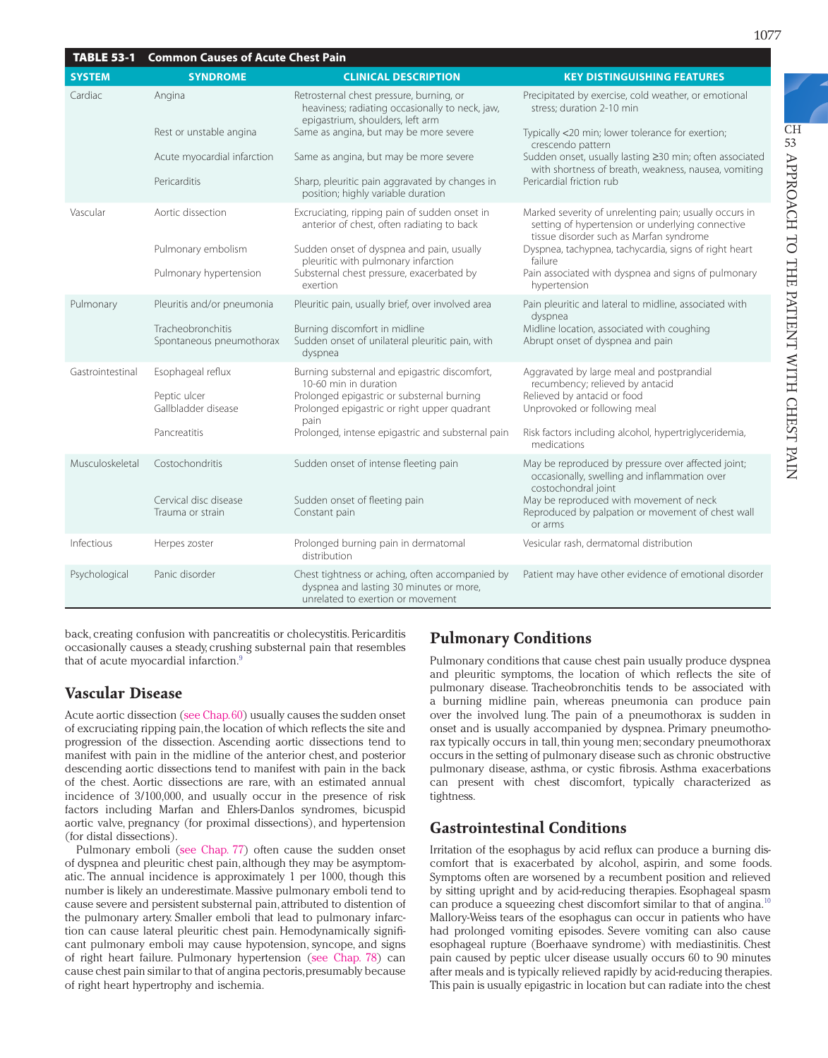<span id="page-1-0"></span>

| <b>TABLE 53-1</b> | <b>Common Causes of Acute Chest Pain</b>      |                                                                                                                                 |                                                                                                                                                                                                                                                                                                  |  |  |  |
|-------------------|-----------------------------------------------|---------------------------------------------------------------------------------------------------------------------------------|--------------------------------------------------------------------------------------------------------------------------------------------------------------------------------------------------------------------------------------------------------------------------------------------------|--|--|--|
| <b>SYSTEM</b>     | <b>SYNDROME</b>                               | <b>CLINICAL DESCRIPTION</b>                                                                                                     | <b>KEY DISTINGUISHING FEATURES</b>                                                                                                                                                                                                                                                               |  |  |  |
| Cardiac           | Angina                                        | Retrosternal chest pressure, burning, or<br>heaviness; radiating occasionally to neck, jaw,<br>epigastrium, shoulders, left arm | Precipitated by exercise, cold weather, or emotional<br>stress; duration 2-10 min                                                                                                                                                                                                                |  |  |  |
|                   | Rest or unstable angina                       | Same as angina, but may be more severe                                                                                          | Typically <20 min; lower tolerance for exertion;<br>crescendo pattern                                                                                                                                                                                                                            |  |  |  |
|                   | Acute myocardial infarction                   | Same as angina, but may be more severe                                                                                          | Sudden onset, usually lasting ≥30 min; often associated<br>with shortness of breath, weakness, nausea, vomiting                                                                                                                                                                                  |  |  |  |
|                   | Pericarditis                                  | Sharp, pleuritic pain aggravated by changes in<br>position; highly variable duration                                            | Pericardial friction rub                                                                                                                                                                                                                                                                         |  |  |  |
| Vascular          | Aortic dissection                             | Excruciating, ripping pain of sudden onset in<br>anterior of chest, often radiating to back                                     | Marked severity of unrelenting pain; usually occurs in<br>setting of hypertension or underlying connective<br>tissue disorder such as Marfan syndrome<br>Dyspnea, tachypnea, tachycardia, signs of right heart<br>failure<br>Pain associated with dyspnea and signs of pulmonary<br>hypertension |  |  |  |
|                   | Pulmonary embolism                            | Sudden onset of dyspnea and pain, usually<br>pleuritic with pulmonary infarction                                                |                                                                                                                                                                                                                                                                                                  |  |  |  |
|                   | Pulmonary hypertension                        | Substernal chest pressure, exacerbated by<br>exertion                                                                           |                                                                                                                                                                                                                                                                                                  |  |  |  |
| Pulmonary         | Pleuritis and/or pneumonia                    | Pleuritic pain, usually brief, over involved area                                                                               | Pain pleuritic and lateral to midline, associated with<br>dyspnea                                                                                                                                                                                                                                |  |  |  |
|                   | Tracheobronchitis<br>Spontaneous pneumothorax | Burning discomfort in midline<br>Sudden onset of unilateral pleuritic pain, with<br>dyspnea                                     | Midline location, associated with coughing<br>Abrupt onset of dyspnea and pain                                                                                                                                                                                                                   |  |  |  |
| Gastrointestinal  | Esophageal reflux                             | Burning substernal and epigastric discomfort,<br>10-60 min in duration                                                          | Aggravated by large meal and postprandial<br>recumbency; relieved by antacid                                                                                                                                                                                                                     |  |  |  |
|                   | Peptic ulcer<br>Gallbladder disease           | Prolonged epigastric or substernal burning<br>Prolonged epigastric or right upper quadrant                                      | Relieved by antacid or food<br>Unprovoked or following meal                                                                                                                                                                                                                                      |  |  |  |
|                   | Pancreatitis                                  | pain<br>Prolonged, intense epigastric and substernal pain                                                                       | Risk factors including alcohol, hypertriglyceridemia,<br>medications                                                                                                                                                                                                                             |  |  |  |
| Musculoskeletal   | Costochondritis                               | Sudden onset of intense fleeting pain                                                                                           | May be reproduced by pressure over affected joint;<br>occasionally, swelling and inflammation over<br>costochondral joint                                                                                                                                                                        |  |  |  |
|                   | Cervical disc disease<br>Trauma or strain     | Sudden onset of fleeting pain<br>Constant pain                                                                                  | May be reproduced with movement of neck<br>Reproduced by palpation or movement of chest wall<br>or arms                                                                                                                                                                                          |  |  |  |
| Infectious        | Herpes zoster                                 | Prolonged burning pain in dermatomal<br>distribution                                                                            | Vesicular rash, dermatomal distribution                                                                                                                                                                                                                                                          |  |  |  |
| Psychological     | Panic disorder                                | Chest tightness or aching, often accompanied by<br>dyspnea and lasting 30 minutes or more,<br>unrelated to exertion or movement | Patient may have other evidence of emotional disorder                                                                                                                                                                                                                                            |  |  |  |

back, creating confusion with pancreatitis or cholecystitis. Pericarditis occasionally causes a steady, crushing substernal pain that resembles that of acute myocardial infarction.<sup>[9](#page-9-9)</sup>

## **Vascular Disease**

Acute aortic dissection (see Chap. 60) usually causes the sudden onset of excruciating ripping pain, the location of which reflects the site and progression of the dissection. Ascending aortic dissections tend to manifest with pain in the midline of the anterior chest, and posterior descending aortic dissections tend to manifest with pain in the back of the chest. Aortic dissections are rare, with an estimated annual incidence of 3/100,000, and usually occur in the presence of risk factors including Marfan and Ehlers-Danlos syndromes, bicuspid aortic valve, pregnancy (for proximal dissections), and hypertension (for distal dissections).

Pulmonary emboli (see Chap. 77) often cause the sudden onset of dyspnea and pleuritic chest pain, although they may be asymptomatic. The annual incidence is approximately 1 per 1000, though this number is likely an underestimate. Massive pulmonary emboli tend to cause severe and persistent substernal pain, attributed to distention of the pulmonary artery. Smaller emboli that lead to pulmonary infarction can cause lateral pleuritic chest pain. Hemodynamically significant pulmonary emboli may cause hypotension, syncope, and signs of right heart failure. Pulmonary hypertension (see Chap. 78) can cause chest pain similar to that of angina pectoris, presumably because of right heart hypertrophy and ischemia.

## **Pulmonary Conditions**

Pulmonary conditions that cause chest pain usually produce dyspnea and pleuritic symptoms, the location of which reflects the site of pulmonary disease. Tracheobronchitis tends to be associated with a burning midline pain, whereas pneumonia can produce pain over the involved lung. The pain of a pneumothorax is sudden in onset and is usually accompanied by dyspnea. Primary pneumothorax typically occurs in tall, thin young men; secondary pneumothorax occurs in the setting of pulmonary disease such as chronic obstructive pulmonary disease, asthma, or cystic fibrosis. Asthma exacerbations can present with chest discomfort, typically characterized as tightness.

## **Gastrointestinal Conditions**

Irritation of the esophagus by acid reflux can produce a burning discomfort that is exacerbated by alcohol, aspirin, and some foods. Symptoms often are worsened by a recumbent position and relieved by sitting upright and by acid-reducing therapies. Esophageal spasm can produce a squeezing chest discomfort similar to that of angina.<sup>[10](#page-9-8)</sup> Mallory-Weiss tears of the esophagus can occur in patients who have had prolonged vomiting episodes. Severe vomiting can also cause esophageal rupture (Boerhaave syndrome) with mediastinitis. Chest pain caused by peptic ulcer disease usually occurs 60 to 90 minutes after meals and is typically relieved rapidly by acid-reducing therapies. This pain is usually epigastric in location but can radiate into the chest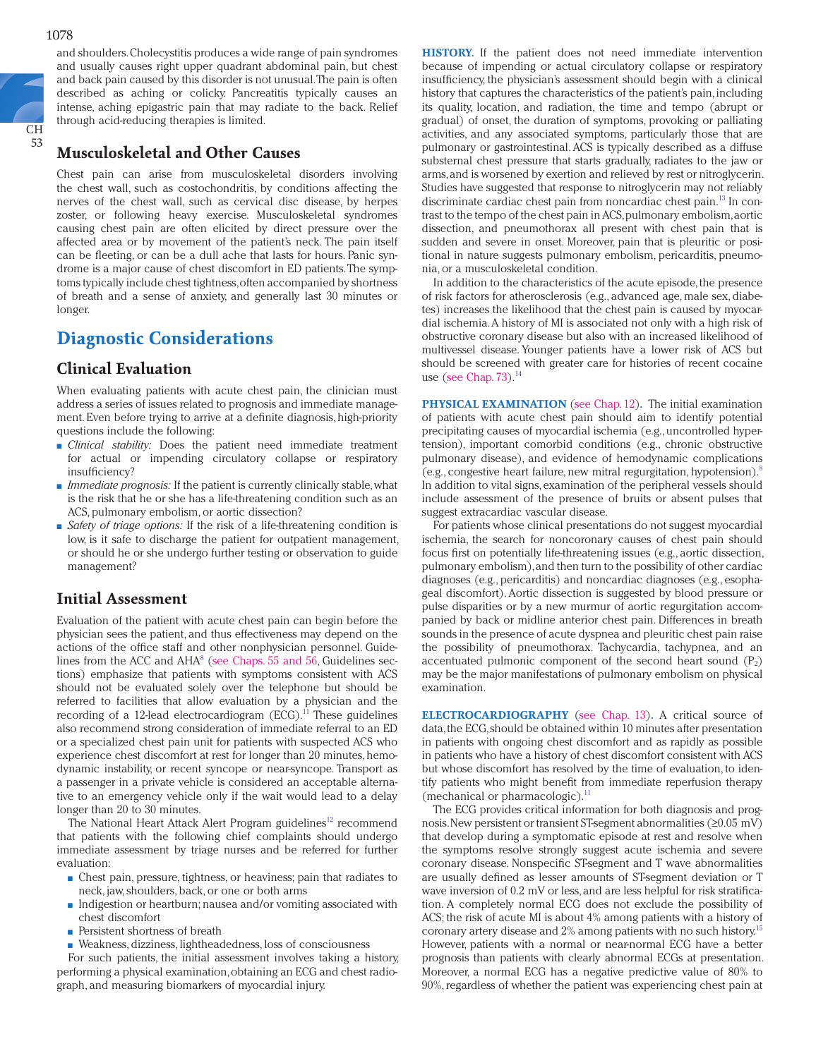#### 1078



and shoulders. Cholecystitis produces a wide range of pain syndromes and usually causes right upper quadrant abdominal pain, but chest and back pain caused by this disorder is not unusual. The pain is often described as aching or colicky. Pancreatitis typically causes an intense, aching epigastric pain that may radiate to the back. Relief through acid-reducing therapies is limited.

## **Musculoskeletal and Other Causes**

Chest pain can arise from musculoskeletal disorders involving the chest wall, such as costochondritis, by conditions affecting the nerves of the chest wall, such as cervical disc disease, by herpes zoster, or following heavy exercise. Musculoskeletal syndromes causing chest pain are often elicited by direct pressure over the affected area or by movement of the patient's neck. The pain itself can be fleeting, or can be a dull ache that lasts for hours. Panic syndrome is a major cause of chest discomfort in ED patients. The symptoms typically include chest tightness, often accompanied by shortness of breath and a sense of anxiety, and generally last 30 minutes or longer.

## **Diagnostic Considerations**

## **Clinical Evaluation**

When evaluating patients with acute chest pain, the clinician must address a series of issues related to prognosis and immediate management. Even before trying to arrive at a definite diagnosis, high-priority questions include the following:

- *Clinical stability:* Does the patient need immediate treatment for actual or impending circulatory collapse or respiratory insufficiency?
- *Immediate prognosis:* If the patient is currently clinically stable, what is the risk that he or she has a life-threatening condition such as an ACS, pulmonary embolism, or aortic dissection?
- *Safety of triage options:* If the risk of a life-threatening condition is low, is it safe to discharge the patient for outpatient management, or should he or she undergo further testing or observation to guide management?

### **Initial Assessment**

Evaluation of the patient with acute chest pain can begin before the physician sees the patient, and thus effectiveness may depend on the actions of the office staff and other nonphysician personnel. Guidelines from the ACC and  $AHA^8$  (see Chaps. 55 and 56, Guidelines sections) emphasize that patients with symptoms consistent with ACS should not be evaluated solely over the telephone but should be referred to facilities that allow evaluation by a physician and the recording of a 12-lead electrocardiogram  $(ECG)$ .<sup>11</sup> These guidelines also recommend strong consideration of immediate referral to an ED or a specialized chest pain unit for patients with suspected ACS who experience chest discomfort at rest for longer than 20 minutes, hemodynamic instability, or recent syncope or near-syncope. Transport as a passenger in a private vehicle is considered an acceptable alternative to an emergency vehicle only if the wait would lead to a delay longer than 20 to 30 minutes.

The National Heart Attack Alert Program guidelines<sup>12</sup> recommend that patients with the following chief complaints should undergo immediate assessment by triage nurses and be referred for further evaluation:

- Chest pain, pressure, tightness, or heaviness; pain that radiates to neck, jaw, shoulders, back, or one or both arms
- Indigestion or heartburn; nausea and/or vomiting associated with chest discomfort
- Persistent shortness of breath
- Weakness, dizziness, lightheadedness, loss of consciousness

For such patients, the initial assessment involves taking a history, performing a physical examination, obtaining an ECG and chest radiograph, and measuring biomarkers of myocardial injury.

**HISTORY.** If the patient does not need immediate intervention because of impending or actual circulatory collapse or respiratory insufficiency, the physician's assessment should begin with a clinical history that captures the characteristics of the patient's pain, including its quality, location, and radiation, the time and tempo (abrupt or gradual) of onset, the duration of symptoms, provoking or palliating activities, and any associated symptoms, particularly those that are pulmonary or gastrointestinal. ACS is typically described as a diffuse substernal chest pressure that starts gradually, radiates to the jaw or arms, and is worsened by exertion and relieved by rest or nitroglycerin. Studies have suggested that response to nitroglycerin may not reliably discriminate cardiac chest pain from noncardiac chest pain[.13](#page-9-10) In contrast to the tempo of the chest pain in ACS, pulmonary embolism, aortic dissection, and pneumothorax all present with chest pain that is sudden and severe in onset. Moreover, pain that is pleuritic or positional in nature suggests pulmonary embolism, pericarditis, pneumonia, or a musculoskeletal condition.

In addition to the characteristics of the acute episode, the presence of risk factors for atherosclerosis (e.g., advanced age, male sex, diabetes) increases the likelihood that the chest pain is caused by myocardial ischemia. A history of MI is associated not only with a high risk of obstructive coronary disease but also with an increased likelihood of multivessel disease. Younger patients have a lower risk of ACS but should be screened with greater care for histories of recent cocaine use (see Chap.  $73$ ).<sup>[14](#page-9-11)</sup>

**PHYSICAL EXAMINATION** (see Chap. 12)**.** The initial examination of patients with acute chest pain should aim to identify potential precipitating causes of myocardial ischemia (e.g., uncontrolled hypertension), important comorbid conditions (e.g., chronic obstructive pulmonary disease), and evidence of hemodynamic complications (e.g., congestive heart failure, new mitral regurgitation, hypotension)[.8](#page-9-6) In addition to vital signs, examination of the peripheral vessels should include assessment of the presence of bruits or absent pulses that suggest extracardiac vascular disease.

For patients whose clinical presentations do not suggest myocardial ischemia, the search for noncoronary causes of chest pain should focus first on potentially life-threatening issues (e.g., aortic dissection, pulmonary embolism), and then turn to the possibility of other cardiac diagnoses (e.g., pericarditis) and noncardiac diagnoses (e.g., esophageal discomfort). Aortic dissection is suggested by blood pressure or pulse disparities or by a new murmur of aortic regurgitation accompanied by back or midline anterior chest pain. Differences in breath sounds in the presence of acute dyspnea and pleuritic chest pain raise the possibility of pneumothorax. Tachycardia, tachypnea, and an accentuated pulmonic component of the second heart sound  $(P_2)$ may be the major manifestations of pulmonary embolism on physical examination.

**ELECTROCARDIOGRAPHY** (see Chap. 13)**.** A critical source of data, the ECG, should be obtained within 10 minutes after presentation in patients with ongoing chest discomfort and as rapidly as possible in patients who have a history of chest discomfort consistent with ACS but whose discomfort has resolved by the time of evaluation, to identify patients who might benefit from immediate reperfusion therapy (mechanical or pharmacologic). $<sup>11</sup>$  $<sup>11</sup>$  $<sup>11</sup>$ </sup>

The ECG provides critical information for both diagnosis and prognosis. New persistent or transient ST-segment abnormalities (≥0.05 mV) that develop during a symptomatic episode at rest and resolve when the symptoms resolve strongly suggest acute ischemia and severe coronary disease. Nonspecific ST-segment and T wave abnormalities are usually defined as lesser amounts of ST-segment deviation or T wave inversion of 0.2 mV or less, and are less helpful for risk stratification. A completely normal ECG does not exclude the possibility of ACS; the risk of acute MI is about 4% among patients with a history of coronary artery disease and 2% among patients with no such history.<sup>15</sup> However, patients with a normal or near-normal ECG have a better prognosis than patients with clearly abnormal ECGs at presentation. Moreover, a normal ECG has a negative predictive value of 80% to 90%, regardless of whether the patient was experiencing chest pain at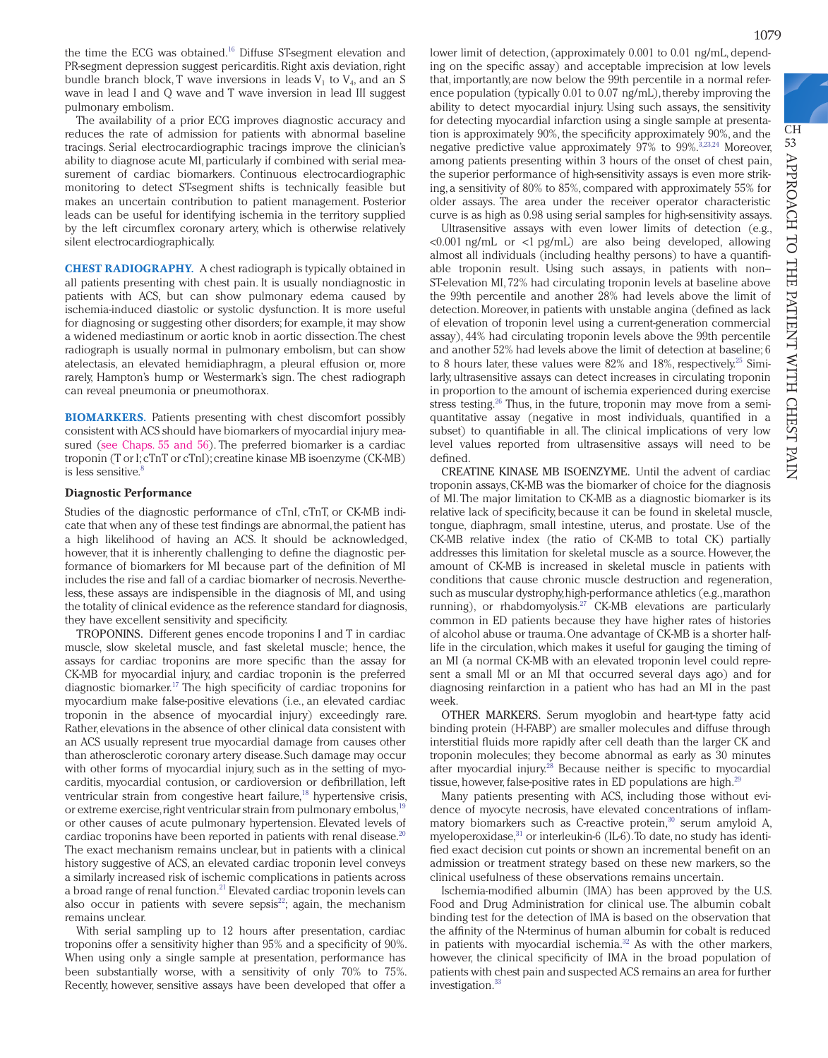the time the ECG was obtained.[16](#page-9-24) Diffuse ST-segment elevation and PR-segment depression suggest pericarditis. Right axis deviation, right bundle branch block, T wave inversions in leads  $V_1$  to  $V_4$ , and an S wave in lead I and Q wave and T wave inversion in lead III suggest pulmonary embolism.

The availability of a prior ECG improves diagnostic accuracy and reduces the rate of admission for patients with abnormal baseline tracings. Serial electrocardiographic tracings improve the clinician's ability to diagnose acute MI, particularly if combined with serial measurement of cardiac biomarkers. Continuous electrocardiographic monitoring to detect ST-segment shifts is technically feasible but makes an uncertain contribution to patient management. Posterior leads can be useful for identifying ischemia in the territory supplied by the left circumflex coronary artery, which is otherwise relatively silent electrocardiographically.

**CHEST RADIOGRAPHY.** A chest radiograph is typically obtained in all patients presenting with chest pain. It is usually nondiagnostic in patients with ACS, but can show pulmonary edema caused by ischemia-induced diastolic or systolic dysfunction. It is more useful for diagnosing or suggesting other disorders; for example, it may show a widened mediastinum or aortic knob in aortic dissection. The chest radiograph is usually normal in pulmonary embolism, but can show atelectasis, an elevated hemidiaphragm, a pleural effusion or, more rarely, Hampton's hump or Westermark's sign. The chest radiograph can reveal pneumonia or pneumothorax.

**BIOMARKERS.** Patients presenting with chest discomfort possibly consistent with ACS should have biomarkers of myocardial injury measured (see Chaps. 55 and 56). The preferred biomarker is a cardiac troponin (T or I; cTnT or cTnI); creatine kinase MB isoenzyme (CK-MB) is less sensitive. $8$ 

#### **Diagnostic Performance**

Studies of the diagnostic performance of cTnI, cTnT, or CK-MB indicate that when any of these test findings are abnormal, the patient has a high likelihood of having an ACS. It should be acknowledged, however, that it is inherently challenging to define the diagnostic performance of biomarkers for MI because part of the definition of MI includes the rise and fall of a cardiac biomarker of necrosis. Nevertheless, these assays are indispensible in the diagnosis of MI, and using the totality of clinical evidence as the reference standard for diagnosis, they have excellent sensitivity and specificity.

TROPONINS. Different genes encode troponins I and T in cardiac muscle, slow skeletal muscle, and fast skeletal muscle; hence, the assays for cardiac troponins are more specific than the assay for CK-MB for myocardial injury, and cardiac troponin is the preferred diagnostic biomarker[.17](#page-9-25) The high specificity of cardiac troponins for myocardium make false-positive elevations (i.e., an elevated cardiac troponin in the absence of myocardial injury) exceedingly rare. Rather, elevations in the absence of other clinical data consistent with an ACS usually represent true myocardial damage from causes other than atherosclerotic coronary artery disease. Such damage may occur with other forms of myocardial injury, such as in the setting of myocarditis, myocardial contusion, or cardioversion or defibrillation, left ventricular strain from congestive heart failure,<sup>18</sup> hypertensive crisis, or extreme exercise, right ventricular strain from pulmonary embolus,<sup>[19](#page-9-27)</sup> or other causes of acute pulmonary hypertension. Elevated levels of cardiac troponins have been reported in patients with renal disease.<sup>[20](#page-9-28)</sup> The exact mechanism remains unclear, but in patients with a clinical history suggestive of ACS, an elevated cardiac troponin level conveys a similarly increased risk of ischemic complications in patients across a broad range of renal function[.21](#page-9-29) Elevated cardiac troponin levels can also occur in patients with severe sepsis<sup>22</sup>; again, the mechanism remains unclear.

With serial sampling up to 12 hours after presentation, cardiac troponins offer a sensitivity higher than 95% and a specificity of 90%. When using only a single sample at presentation, performance has been substantially worse, with a sensitivity of only 70% to 75%. Recently, however, sensitive assays have been developed that offer a

lower limit of detection, (approximately 0.001 to 0.01 ng/mL, depending on the specific assay) and acceptable imprecision at low levels that, importantly, are now below the 99th percentile in a normal reference population (typically 0.01 to 0.07 ng/mL), thereby improving the ability to detect myocardial injury. Using such assays, the sensitivity for detecting myocardial infarction using a single sample at presentation is approximately 90%, the specificity approximately 90%, and the negative predictive value approximately 97% to 99%.[3,23,24](#page-9-1) Moreover, among patients presenting within 3 hours of the onset of chest pain, the superior performance of high-sensitivity assays is even more striking, a sensitivity of 80% to 85%, compared with approximately 55% for older assays. The area under the receiver operator characteristic curve is as high as 0.98 using serial samples for high-sensitivity assays.

Ultrasensitive assays with even lower limits of detection (e.g., <0.001 ng/mL or <1 pg/mL) are also being developed, allowing almost all individuals (including healthy persons) to have a quantifiable troponin result. Using such assays, in patients with non– ST-elevation MI, 72% had circulating troponin levels at baseline above the 99th percentile and another 28% had levels above the limit of detection. Moreover, in patients with unstable angina (defined as lack of elevation of troponin level using a current-generation commercial assay), 44% had circulating troponin levels above the 99th percentile and another 52% had levels above the limit of detection at baseline; 6 to 8 hours later, these values were  $82\%$  and  $18\%$ , respectively.<sup>25</sup> Similarly, ultrasensitive assays can detect increases in circulating troponin in proportion to the amount of ischemia experienced during exercise stress testing.<sup>26</sup> Thus, in the future, troponin may move from a semiquantitative assay (negative in most individuals, quantified in a subset) to quantifiable in all. The clinical implications of very low level values reported from ultrasensitive assays will need to be defined.

CREATINE KINASE MB ISOENZYME. Until the advent of cardiac troponin assays, CK-MB was the biomarker of choice for the diagnosis of MI. The major limitation to CK-MB as a diagnostic biomarker is its relative lack of specificity, because it can be found in skeletal muscle, tongue, diaphragm, small intestine, uterus, and prostate. Use of the CK-MB relative index (the ratio of CK-MB to total CK) partially addresses this limitation for skeletal muscle as a source. However, the amount of CK-MB is increased in skeletal muscle in patients with conditions that cause chronic muscle destruction and regeneration, such as muscular dystrophy, high-performance athletics (e.g., marathon running), or rhabdomyolysis.<sup>27</sup> CK-MB elevations are particularly common in ED patients because they have higher rates of histories of alcohol abuse or trauma. One advantage of CK-MB is a shorter halflife in the circulation, which makes it useful for gauging the timing of an MI (a normal CK-MB with an elevated troponin level could represent a small MI or an MI that occurred several days ago) and for diagnosing reinfarction in a patient who has had an MI in the past week.

OTHER MARKERS. Serum myoglobin and heart-type fatty acid binding protein (H-FABP) are smaller molecules and diffuse through interstitial fluids more rapidly after cell death than the larger CK and troponin molecules; they become abnormal as early as 30 minutes after myocardial injury.<sup>28</sup> Because neither is specific to myocardial tissue, however, false-positive rates in ED populations are high.<sup>29</sup>

Many patients presenting with ACS, including those without evidence of myocyte necrosis, have elevated concentrations of inflammatory biomarkers such as C-reactive protein, $30$  serum amyloid A, myeloperoxidase, $31$  or interleukin-6 (IL-6). To date, no study has identified exact decision cut points or shown an incremental benefit on an admission or treatment strategy based on these new markers, so the clinical usefulness of these observations remains uncertain.

Ischemia-modified albumin (IMA) has been approved by the U.S. Food and Drug Administration for clinical use. The albumin cobalt binding test for the detection of IMA is based on the observation that the affinity of the N-terminus of human albumin for cobalt is reduced in patients with myocardial ischemia.<sup>32</sup> As with the other markers, however, the clinical specificity of IMA in the broad population of patients with chest pain and suspected ACS remains an area for further investigation.<sup>[33](#page-9-23)</sup>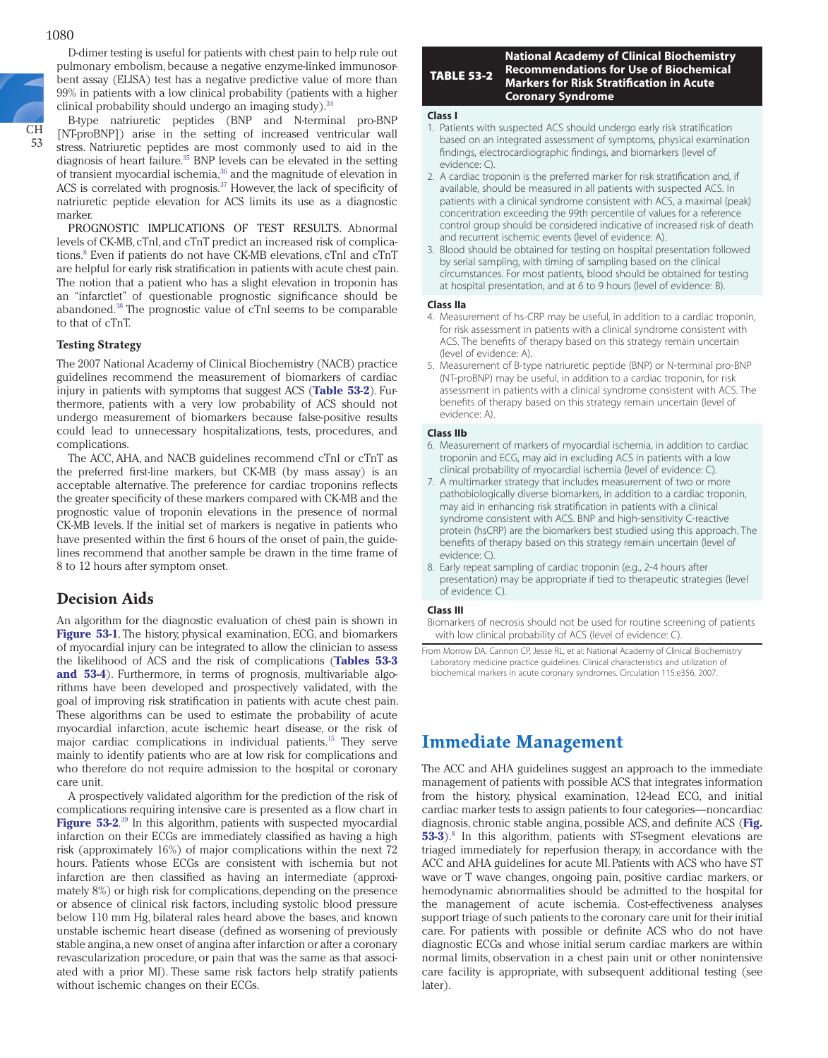#### 1080

D-dimer testing is useful for patients with chest pain to help rule out pulmonary embolism, because a negative enzyme-linked immunosorbent assay (ELISA) test has a negative predictive value of more than 99% in patients with a low clinical probability (patients with a higher clinical probability should undergo an imaging study).<sup>34</sup>

B-type natriuretic peptides (BNP and N-terminal pro-BNP [NT-proBNP]) arise in the setting of increased ventricular wall stress. Natriuretic peptides are most commonly used to aid in the diagnosis of heart failure.<sup>35</sup> BNP levels can be elevated in the setting of transient myocardial ischemia,<sup>36</sup> and the magnitude of elevation in ACS is correlated with prognosis.<sup>37</sup> However, the lack of specificity of natriuretic peptide elevation for ACS limits its use as a diagnostic marker.

PROGNOSTIC IMPLICATIONS OF TEST RESULTS. Abnormal levels of CK-MB, cTnI, and cTnT predict an increased risk of complications.[8](#page-9-6) Even if patients do not have CK-MB elevations, cTnI and cTnT are helpful for early risk stratification in patients with acute chest pain. The notion that a patient who has a slight elevation in troponin has an "infarctlet" of questionable prognostic significance should be abandoned.[38](#page-9-35) The prognostic value of cTnI seems to be comparable to that of cTnT.

#### **Testing Strategy**

The 2007 National Academy of Clinical Biochemistry (NACB) practice guidelines recommend the measurement of biomarkers of cardiac injury in patients with symptoms that suggest ACS (**[Table 53-2](#page-4-0)**). Furthermore, patients with a very low probability of ACS should not undergo measurement of biomarkers because false-positive results could lead to unnecessary hospitalizations, tests, procedures, and complications.

The ACC, AHA, and NACB guidelines recommend cTnI or cTnT as the preferred first-line markers, but CK-MB (by mass assay) is an acceptable alternative. The preference for cardiac troponins reflects the greater specificity of these markers compared with CK-MB and the prognostic value of troponin elevations in the presence of normal CK-MB levels. If the initial set of markers is negative in patients who have presented within the first 6 hours of the onset of pain, the guidelines recommend that another sample be drawn in the time frame of 8 to 12 hours after symptom onset.

#### **Decision Aids**

An algorithm for the diagnostic evaluation of chest pain is shown in **[Figure 53-1](#page-5-0)**. The history, physical examination, ECG, and biomarkers of myocardial injury can be integrated to allow the clinician to assess the likelihood of ACS and the risk of complications (**[Tables 53-3](#page-6-0)  [and 53-4](#page-6-0)**). Furthermore, in terms of prognosis, multivariable algorithms have been developed and prospectively validated, with the goal of improving risk stratification in patients with acute chest pain. These algorithms can be used to estimate the probability of acute myocardial infarction, acute ischemic heart disease, or the risk of major cardiac complications in individual patients[.15](#page-9-13) They serve mainly to identify patients who are at low risk for complications and who therefore do not require admission to the hospital or coronary care unit.

A prospectively validated algorithm for the prediction of the risk of complications requiring intensive care is presented as a flow chart in [Figure 53-2](#page-7-1).<sup>39</sup> In this algorithm, patients with suspected myocardial infarction on their ECGs are immediately classified as having a high risk (approximately 16%) of major complications within the next 72 hours. Patients whose ECGs are consistent with ischemia but not infarction are then classified as having an intermediate (approximately 8%) or high risk for complications, depending on the presence or absence of clinical risk factors, including systolic blood pressure below 110 mm Hg, bilateral rales heard above the bases, and known unstable ischemic heart disease (defined as worsening of previously stable angina, a new onset of angina after infarction or after a coronary revascularization procedure, or pain that was the same as that associated with a prior MI). These same risk factors help stratify patients without ischemic changes on their ECGs.

# <span id="page-4-0"></span>TABLE 53-2

#### **National Academy of Clinical Biochemistry Recommendations for Use of Biochemical Markers for Risk Stratification in Acute Coronary Syndrome**

#### **Class I**

- 1. Patients with suspected ACS should undergo early risk stratification based on an integrated assessment of symptoms, physical examination findings, electrocardiographic findings, and biomarkers (level of evidence: C).
- 2. A cardiac troponin is the preferred marker for risk stratification and, if available, should be measured in all patients with suspected ACS. In patients with a clinical syndrome consistent with ACS, a maximal (peak) concentration exceeding the 99th percentile of values for a reference control group should be considered indicative of increased risk of death and recurrent ischemic events (level of evidence: A).
- 3. Blood should be obtained for testing on hospital presentation followed by serial sampling, with timing of sampling based on the clinical circumstances. For most patients, blood should be obtained for testing at hospital presentation, and at 6 to 9 hours (level of evidence: B).

#### **Class IIa**

- 4. Measurement of hs-CRP may be useful, in addition to a cardiac troponin, for risk assessment in patients with a clinical syndrome consistent with ACS. The benefits of therapy based on this strategy remain uncertain (level of evidence: A).
- 5. Measurement of B-type natriuretic peptide (BNP) or N-terminal pro-BNP (NT-proBNP) may be useful, in addition to a cardiac troponin, for risk assessment in patients with a clinical syndrome consistent with ACS. The benefits of therapy based on this strategy remain uncertain (level of evidence: A).

#### **Class IIb**

- 6. Measurement of markers of myocardial ischemia, in addition to cardiac troponin and ECG, may aid in excluding ACS in patients with a low clinical probability of myocardial ischemia (level of evidence: C).
- 7. A multimarker strategy that includes measurement of two or more pathobiologically diverse biomarkers, in addition to a cardiac troponin, may aid in enhancing risk stratification in patients with a clinical syndrome consistent with ACS. BNP and high-sensitivity C-reactive protein (hsCRP) are the biomarkers best studied using this approach. The benefits of therapy based on this strategy remain uncertain (level of evidence: C).
- 8. Early repeat sampling of cardiac troponin (e.g., 2-4 hours after presentation) may be appropriate if tied to therapeutic strategies (level of evidence: C).

#### **Class III**

Biomarkers of necrosis should not be used for routine screening of patients with low clinical probability of ACS (level of evidence: C).

From Morrow DA, Cannon CP, Jesse RL, et al: National Academy of Clinical Biochemistry Laboratory medicine practice guidelines: Clinical characteristics and utilization of biochemical markers in acute coronary syndromes. Circulation 115:e356, 2007.

## **Immediate Management**

The ACC and AHA guidelines suggest an approach to the immediate management of patients with possible ACS that integrates information from the history, physical examination, 12-lead ECG, and initial cardiac marker tests to assign patients to four categories—noncardiac diagnosis, chronic stable angina, possible ACS, and definite ACS (**[Fig.](#page-7-0)  [53-3](#page-7-0)**).<sup>[8](#page-9-6)</sup> In this algorithm, patients with ST-segment elevations are triaged immediately for reperfusion therapy, in accordance with the ACC and AHA guidelines for acute MI. Patients with ACS who have ST wave or T wave changes, ongoing pain, positive cardiac markers, or hemodynamic abnormalities should be admitted to the hospital for the management of acute ischemia. Cost-effectiveness analyses support triage of such patients to the coronary care unit for their initial care. For patients with possible or definite ACS who do not have diagnostic ECGs and whose initial serum cardiac markers are within normal limits, observation in a chest pain unit or other nonintensive care facility is appropriate, with subsequent additional testing (see later).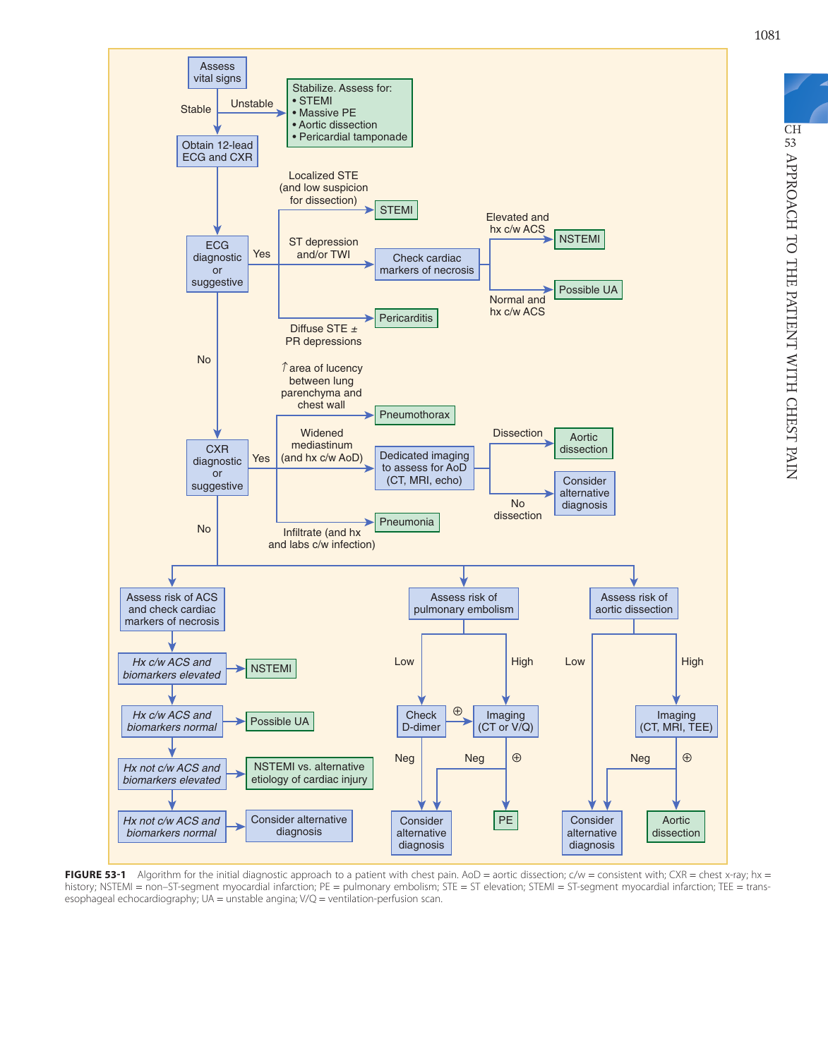

<span id="page-5-0"></span>**FIGURE 53-1** Algorithm for the initial diagnostic approach to a patient with chest pain. AoD = aortic dissection; c/w = consistent with; CXR = chest x-ray; hx = history; NSTEMI = non-ST-segment myocardial infarction; PE = pulmonary embolism; STE = ST elevation; STEMI = ST-segment myocardial infarction; TEE = transesophageal echocardiography; UA = unstable angina; V/Q = ventilation-perfusion scan.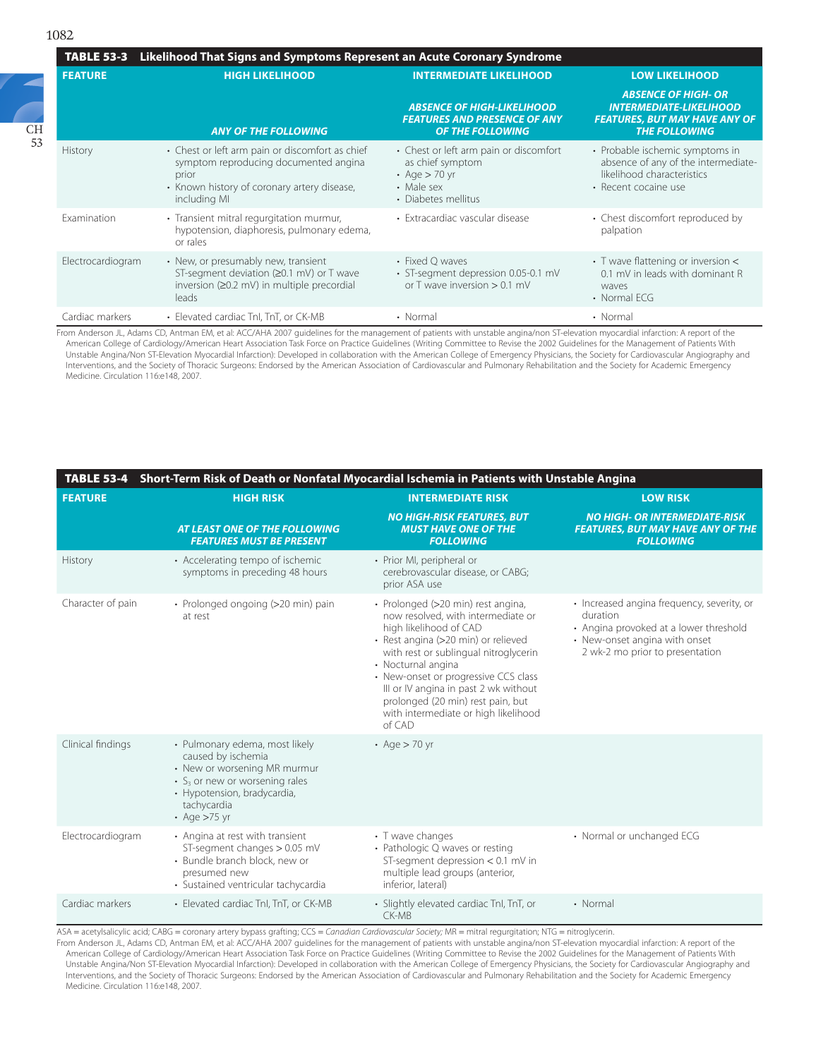CH 53

<span id="page-6-0"></span>

| <b>TABLE 53-3</b> | Likelihood That Signs and Symptoms Represent an Acute Coronary Syndrome                                                                                          |                                                                                                                          |                                                                                                                              |  |  |
|-------------------|------------------------------------------------------------------------------------------------------------------------------------------------------------------|--------------------------------------------------------------------------------------------------------------------------|------------------------------------------------------------------------------------------------------------------------------|--|--|
| <b>FEATURE</b>    | <b>HIGH LIKELIHOOD</b>                                                                                                                                           | <b>INTERMEDIATE LIKELIHOOD</b>                                                                                           | <b>LOW LIKELIHOOD</b>                                                                                                        |  |  |
|                   | <b>ANY OF THE FOLLOWING</b>                                                                                                                                      | <b>ABSENCE OF HIGH-LIKELIHOOD</b><br><b>FEATURES AND PRESENCE OF ANY</b><br><b>OF THE FOLLOWING</b>                      | <b>ABSENCE OF HIGH- OR</b><br><b>INTERMEDIATE-LIKELIHOOD</b><br><b>FEATURES, BUT MAY HAVE ANY OF</b><br><b>THE FOLLOWING</b> |  |  |
| History           | • Chest or left arm pain or discomfort as chief<br>symptom reproducing documented angina<br>prior<br>• Known history of coronary artery disease,<br>including MI | • Chest or left arm pain or discomfort<br>as chief symptom<br>$\cdot$ Age $>$ 70 yr<br>• Male sex<br>• Diabetes mellitus | • Probable ischemic symptoms in<br>absence of any of the intermediate-<br>likelihood characteristics<br>• Recent cocaine use |  |  |
| Fxamination       | · Transient mitral regurgitation murmur,<br>hypotension, diaphoresis, pulmonary edema,<br>or rales                                                               | • Extracardiac vascular disease                                                                                          | • Chest discomfort reproduced by<br>palpation                                                                                |  |  |
| Electrocardiogram | • New, or presumably new, transient<br>ST-segment deviation (≥0.1 mV) or T wave<br>inversion $(20.2 \text{ mV})$ in multiple precordial<br>leads                 | • Fixed O waves<br>· ST-segment depression 0.05-0.1 mV<br>or T wave inversion $> 0.1$ mV                                 | • T wave flattening or inversion <<br>0.1 mV in leads with dominant R<br>waves<br>• Normal ECG                               |  |  |
| Cardiac markers   | • Elevated cardiac Tnl, TnT, or CK-MB                                                                                                                            | • Normal                                                                                                                 | • Normal                                                                                                                     |  |  |

From Anderson JL, Adams CD, Antman EM, et al: ACC/AHA 2007 guidelines for the management of patients with unstable angina/non ST-elevation myocardial infarction: A report of the American College of Cardiology/American Heart Association Task Force on Practice Guidelines (Writing Committee to Revise the 2002 Guidelines for the Management of Patients With Unstable Angina/Non ST-Elevation Myocardial Infarction): Developed in collaboration with the American College of Emergency Physicians, the Society for Cardiovascular Angiography and Interventions, and the Society of Thoracic Surgeons: Endorsed by the American Association of Cardiovascular and Pulmonary Rehabilitation and the Society for Academic Emergency Medicine. Circulation 116:e148, 2007.

| Short-Term Risk of Death or Nonfatal Myocardial Ischemia in Patients with Unstable Angina<br><b>TABLE 53-4</b> |                                                                                                                                                                                                              |                                                                                                                                                                                                                                                                                                                                                                                  |                                                                                                                                                                      |  |  |  |
|----------------------------------------------------------------------------------------------------------------|--------------------------------------------------------------------------------------------------------------------------------------------------------------------------------------------------------------|----------------------------------------------------------------------------------------------------------------------------------------------------------------------------------------------------------------------------------------------------------------------------------------------------------------------------------------------------------------------------------|----------------------------------------------------------------------------------------------------------------------------------------------------------------------|--|--|--|
| <b>FEATURE</b>                                                                                                 | <b>HIGH RISK</b>                                                                                                                                                                                             | <b>INTERMEDIATE RISK</b>                                                                                                                                                                                                                                                                                                                                                         | <b>LOW RISK</b>                                                                                                                                                      |  |  |  |
|                                                                                                                | <b>AT LEAST ONE OF THE FOLLOWING</b><br><b>FEATURES MUST BE PRESENT</b>                                                                                                                                      | <b>NO HIGH-RISK FEATURES, BUT</b><br><b>MUST HAVE ONE OF THE</b><br><b>FOLLOWING</b>                                                                                                                                                                                                                                                                                             | <b>NO HIGH- OR INTERMEDIATE-RISK</b><br><b>FEATURES, BUT MAY HAVE ANY OF THE</b><br><b>FOLLOWING</b>                                                                 |  |  |  |
| History                                                                                                        | • Accelerating tempo of ischemic<br>symptoms in preceding 48 hours                                                                                                                                           | • Prior MI, peripheral or<br>cerebrovascular disease, or CABG;<br>prior ASA use                                                                                                                                                                                                                                                                                                  |                                                                                                                                                                      |  |  |  |
| Character of pain                                                                                              | · Prolonged ongoing (>20 min) pain<br>at rest                                                                                                                                                                | · Prolonged (>20 min) rest angina,<br>now resolved, with intermediate or<br>high likelihood of CAD<br>• Rest angina (>20 min) or relieved<br>with rest or sublingual nitroglycerin<br>• Nocturnal angina<br>• New-onset or progressive CCS class<br>III or IV angina in past 2 wk without<br>prolonged (20 min) rest pain, but<br>with intermediate or high likelihood<br>of CAD | • Increased angina frequency, severity, or<br>duration<br>• Angina provoked at a lower threshold<br>• New-onset angina with onset<br>2 wk-2 mo prior to presentation |  |  |  |
| Clinical findings                                                                                              | • Pulmonary edema, most likely<br>caused by ischemia<br>• New or worsening MR murmur<br>$\cdot$ S <sub>3</sub> or new or worsening rales<br>• Hypotension, bradycardia,<br>tachycardia<br>$\cdot$ Age >75 yr | $\cdot$ Age $>$ 70 yr                                                                                                                                                                                                                                                                                                                                                            |                                                                                                                                                                      |  |  |  |
| Electrocardiogram                                                                                              | • Angina at rest with transient<br>ST-segment changes > 0.05 mV<br>· Bundle branch block, new or<br>presumed new<br>· Sustained ventricular tachycardia                                                      | $\cdot$ T wave changes<br>• Pathologic Q waves or resting<br>ST-segment depression $< 0.1$ mV in<br>multiple lead groups (anterior,<br>inferior, lateral)                                                                                                                                                                                                                        | • Normal or unchanged ECG                                                                                                                                            |  |  |  |
| Cardiac markers                                                                                                | • Elevated cardiac Tnl, TnT, or CK-MB                                                                                                                                                                        | • Slightly elevated cardiac Tnl, TnT, or<br>CK-MB                                                                                                                                                                                                                                                                                                                                | • Normal                                                                                                                                                             |  |  |  |

ASA = acetylsalicylic acid; CABG = coronary artery bypass grafting; CCS = *Canadian Cardiovascular Society;* MR = mitral regurgitation; NTG = nitroglycerin.

From Anderson JL, Adams CD, Antman EM, et al: ACC/AHA 2007 guidelines for the management of patients with unstable angina/non ST-elevation myocardial infarction: A report of the American College of Cardiology/American Heart Association Task Force on Practice Guidelines (Writing Committee to Revise the 2002 Guidelines for the Management of Patients With Unstable Angina/Non ST-Elevation Myocardial Infarction): Developed in collaboration with the American College of Emergency Physicians, the Society for Cardiovascular Angiography and Interventions, and the Society of Thoracic Surgeons: Endorsed by the American Association of Cardiovascular and Pulmonary Rehabilitation and the Society for Academic Emergency Medicine. Circulation 116:e148, 2007.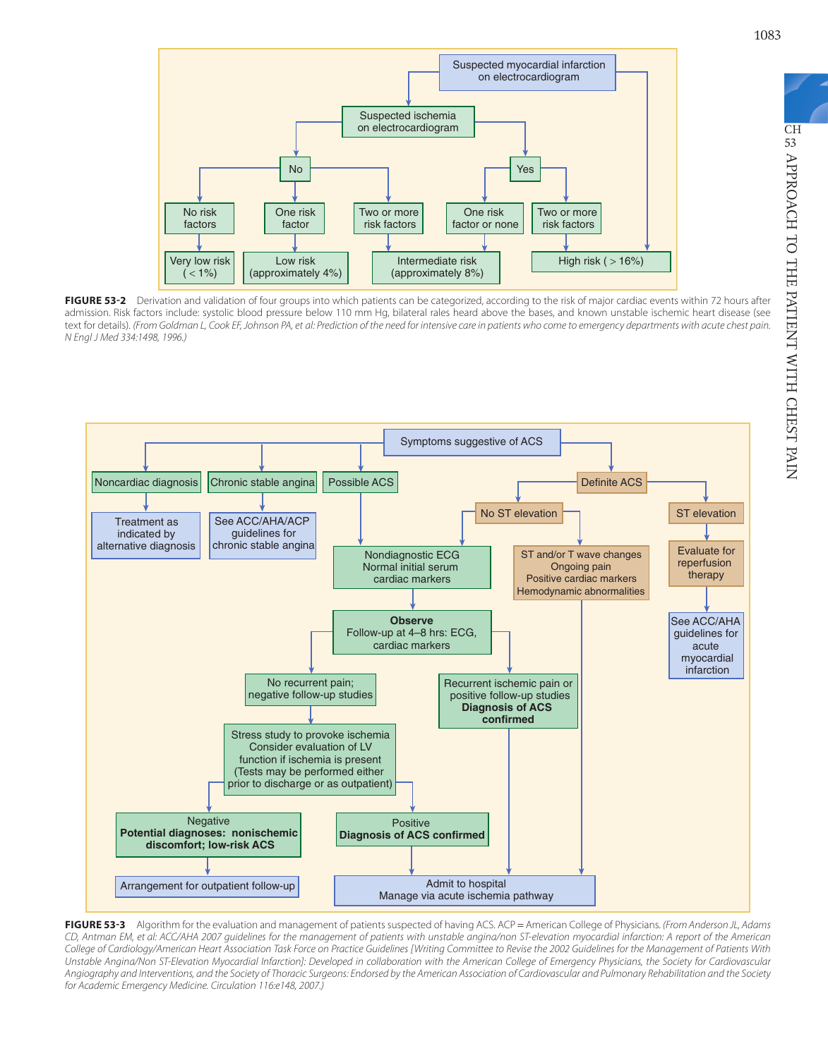

<span id="page-7-1"></span>**FIGURE 53-2** Derivation and validation of four groups into which patients can be categorized, according to the risk of major cardiac events within 72 hours after admission. Risk factors include: systolic blood pressure below 110 mm Hg, bilateral rales heard above the bases, and known unstable ischemic heart disease (see text for details). *(From Goldman L, Cook EF, Johnson PA, et al: Prediction of the need for intensive care in patients who come to emergency departments with acute chest pain. N Engl J Med 334:1498, 1996.)*



<span id="page-7-0"></span>**FIGURE 53-3** Algorithm for the evaluation and management of patients suspected of having ACS. ACP = American College of Physicians. *(From Anderson JL, Adams CD, Antman EM, et al: ACC/AHA 2007 guidelines for the management of patients with unstable angina/non ST-elevation myocardial infarction: A report of the American College of Cardiology/American Heart Association Task Force on Practice Guidelines [Writing Committee to Revise the 2002 Guidelines for the Management of Patients With Unstable Angina/Non ST-Elevation Myocardial Infarction]: Developed in collaboration with the American College of Emergency Physicians, the Society for Cardiovascular Angiography and Interventions, and the Society of Thoracic Surgeons: Endorsed by the American Association of Cardiovascular and Pulmonary Rehabilitation and the Society for Academic Emergency Medicine. Circulation 116:e148, 2007.)*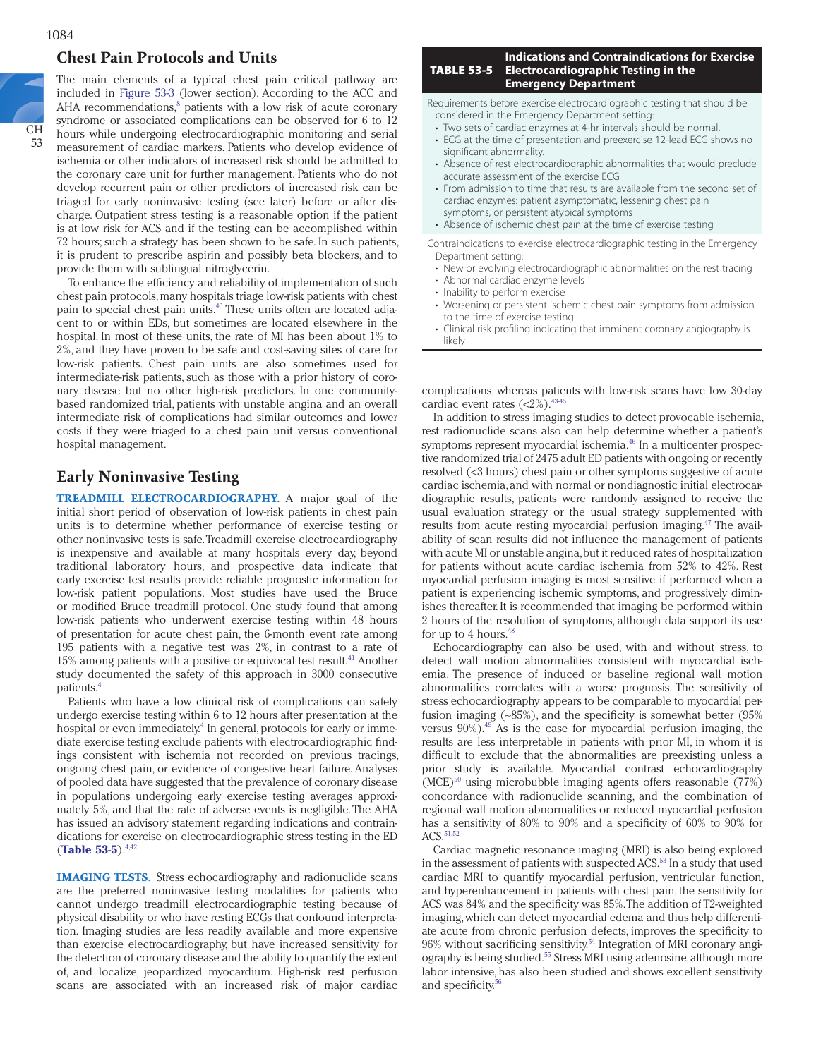## **Chest Pain Protocols and Units**

CH 53

The main elements of a typical chest pain critical pathway are included in [Figure 53-3](#page-7-0) (lower section). According to the ACC and AHA recommendations, $8$  patients with a low risk of acute coronary syndrome or associated complications can be observed for 6 to 12 hours while undergoing electrocardiographic monitoring and serial measurement of cardiac markers. Patients who develop evidence of ischemia or other indicators of increased risk should be admitted to the coronary care unit for further management. Patients who do not develop recurrent pain or other predictors of increased risk can be triaged for early noninvasive testing (see later) before or after discharge. Outpatient stress testing is a reasonable option if the patient is at low risk for ACS and if the testing can be accomplished within 72 hours; such a strategy has been shown to be safe. In such patients, it is prudent to prescribe aspirin and possibly beta blockers, and to provide them with sublingual nitroglycerin.

To enhance the efficiency and reliability of implementation of such chest pain protocols, many hospitals triage low-risk patients with chest pain to special chest pain units.[40](#page-9-37) These units often are located adjacent to or within EDs, but sometimes are located elsewhere in the hospital. In most of these units, the rate of MI has been about 1% to 2%, and they have proven to be safe and cost-saving sites of care for low-risk patients. Chest pain units are also sometimes used for intermediate-risk patients, such as those with a prior history of coronary disease but no other high-risk predictors. In one communitybased randomized trial, patients with unstable angina and an overall intermediate risk of complications had similar outcomes and lower costs if they were triaged to a chest pain unit versus conventional hospital management.

## **Early Noninvasive Testing**

**TREADMILL ELECTROCARDIOGRAPHY.** A major goal of the initial short period of observation of low-risk patients in chest pain units is to determine whether performance of exercise testing or other noninvasive tests is safe. Treadmill exercise electrocardiography is inexpensive and available at many hospitals every day, beyond traditional laboratory hours, and prospective data indicate that early exercise test results provide reliable prognostic information for low-risk patient populations. Most studies have used the Bruce or modified Bruce treadmill protocol. One study found that among low-risk patients who underwent exercise testing within 48 hours of presentation for acute chest pain, the 6-month event rate among 195 patients with a negative test was 2%, in contrast to a rate of 15% among patients with a positive or equivocal test result[.41](#page-9-38) Another study documented the safety of this approach in 3000 consecutive patients[.4](#page-9-2)

Patients who have a low clinical risk of complications can safely undergo exercise testing within 6 to 12 hours after presentation at the hospital or even immediately.<sup>4</sup> In general, protocols for early or immediate exercise testing exclude patients with electrocardiographic findings consistent with ischemia not recorded on previous tracings, ongoing chest pain, or evidence of congestive heart failure. Analyses of pooled data have suggested that the prevalence of coronary disease in populations undergoing early exercise testing averages approximately 5%, and that the rate of adverse events is negligible. The AHA has issued an advisory statement regarding indications and contraindications for exercise on electrocardiographic stress testing in the ED (**[Table 53-5](#page-8-0)**).[4](#page-9-2)[,42](#page-9-39)

**IMAGING TESTS.** Stress echocardiography and radionuclide scans are the preferred noninvasive testing modalities for patients who cannot undergo treadmill electrocardiographic testing because of physical disability or who have resting ECGs that confound interpretation. Imaging studies are less readily available and more expensive than exercise electrocardiography, but have increased sensitivity for the detection of coronary disease and the ability to quantify the extent of, and localize, jeopardized myocardium. High-risk rest perfusion scans are associated with an increased risk of major cardiac

#### <span id="page-8-0"></span>TABLE 53-5  **Indications and Contraindications for Exercise Electrocardiographic Testing in the Emergency Department**

Requirements before exercise electrocardiographic testing that should be considered in the Emergency Department setting:

- Two sets of cardiac enzymes at 4-hr intervals should be normal.
- ECG at the time of presentation and preexercise 12-lead ECG shows no significant abnormality.
- Absence of rest electrocardiographic abnormalities that would preclude accurate assessment of the exercise ECG
- From admission to time that results are available from the second set of cardiac enzymes: patient asymptomatic, lessening chest pain symptoms, or persistent atypical symptoms
- Absence of ischemic chest pain at the time of exercise testing
- Contraindications to exercise electrocardiographic testing in the Emergency Department setting:
- New or evolving electrocardiographic abnormalities on the rest tracing
- Abnormal cardiac enzyme levels
- Inability to perform exercise
- Worsening or persistent ischemic chest pain symptoms from admission to the time of exercise testing
- Clinical risk profiling indicating that imminent coronary angiography is likely

complications, whereas patients with low-risk scans have low 30-day cardiac event rates  $(<2\%)$ .  $4345$ 

In addition to stress imaging studies to detect provocable ischemia, rest radionuclide scans also can help determine whether a patient's symptoms represent myocardial ischemia.<sup>46</sup> In a multicenter prospective randomized trial of 2475 adult ED patients with ongoing or recently resolved (<3 hours) chest pain or other symptoms suggestive of acute cardiac ischemia, and with normal or nondiagnostic initial electrocardiographic results, patients were randomly assigned to receive the usual evaluation strategy or the usual strategy supplemented with results from acute resting myocardial perfusion imaging.<sup>47</sup> The availability of scan results did not influence the management of patients with acute MI or unstable angina, but it reduced rates of hospitalization for patients without acute cardiac ischemia from 52% to 42%. Rest myocardial perfusion imaging is most sensitive if performed when a patient is experiencing ischemic symptoms, and progressively diminishes thereafter. It is recommended that imaging be performed within 2 hours of the resolution of symptoms, although data support its use for up to 4 hours.<sup>[48](#page-10-1)</sup>

Echocardiography can also be used, with and without stress, to detect wall motion abnormalities consistent with myocardial ischemia. The presence of induced or baseline regional wall motion abnormalities correlates with a worse prognosis. The sensitivity of stress echocardiography appears to be comparable to myocardial perfusion imaging (∼85%), and the specificity is somewhat better (95% versus 90%)[.49](#page-10-2) As is the case for myocardial perfusion imaging, the results are less interpretable in patients with prior MI, in whom it is difficult to exclude that the abnormalities are preexisting unless a prior study is available. Myocardial contrast echocardiography  $(MCE)^{50}$  using microbubble imaging agents offers reasonable (77%) concordance with radionuclide scanning, and the combination of regional wall motion abnormalities or reduced myocardial perfusion has a sensitivity of 80% to 90% and a specificity of 60% to 90% for ACS.<sup>[51,52](#page-10-4)</sup>

Cardiac magnetic resonance imaging (MRI) is also being explored in the assessment of patients with suspected ACS.[53](#page-10-5) In a study that used cardiac MRI to quantify myocardial perfusion, ventricular function, and hyperenhancement in patients with chest pain, the sensitivity for ACS was 84% and the specificity was 85%. The addition of T2-weighted imaging, which can detect myocardial edema and thus help differentiate acute from chronic perfusion defects, improves the specificity to 96% without sacrificing sensitivity[.54](#page-10-6) Integration of MRI coronary angiography is being studied.[55](#page-10-7) Stress MRI using adenosine, although more labor intensive, has also been studied and shows excellent sensitivity and specificity.<sup>[56](#page-10-8)</sup>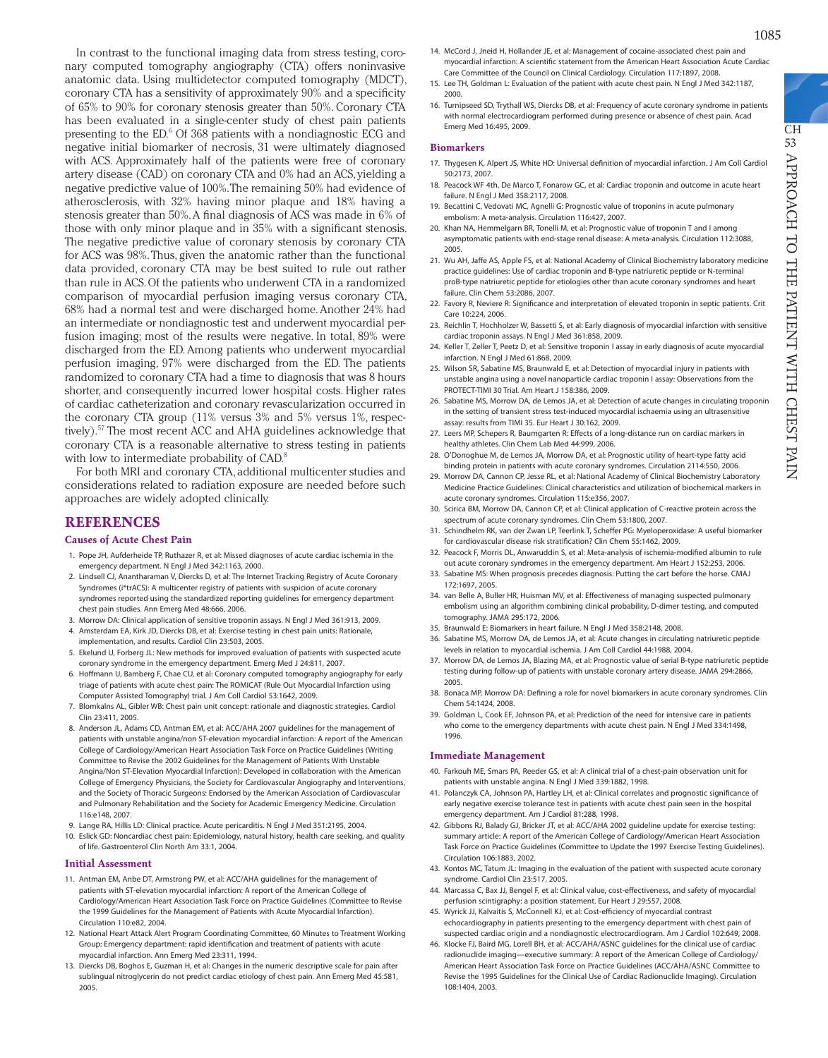In contrast to the functional imaging data from stress testing, coronary computed tomography angiography (CTA) offers noninvasive anatomic data. Using multidetector computed tomography (MDCT), coronary CTA has a sensitivity of approximately 90% and a specificity of 65% to 90% for coronary stenosis greater than 50%. Coronary CTA has been evaluated in a single-center study of chest pain patients presenting to the ED.<sup>[6](#page-9-4)</sup> Of 368 patients with a nondiagnostic ECG and negative initial biomarker of necrosis, 31 were ultimately diagnosed with ACS. Approximately half of the patients were free of coronary artery disease (CAD) on coronary CTA and 0% had an ACS, yielding a negative predictive value of 100%. The remaining 50% had evidence of atherosclerosis, with 32% having minor plaque and 18% having a stenosis greater than 50%. A final diagnosis of ACS was made in 6% of those with only minor plaque and in 35% with a significant stenosis. The negative predictive value of coronary stenosis by coronary CTA for ACS was 98%. Thus, given the anatomic rather than the functional data provided, coronary CTA may be best suited to rule out rather than rule in ACS. Of the patients who underwent CTA in a randomized comparison of myocardial perfusion imaging versus coronary CTA, 68% had a normal test and were discharged home. Another 24% had an intermediate or nondiagnostic test and underwent myocardial perfusion imaging; most of the results were negative. In total, 89% were discharged from the ED. Among patients who underwent myocardial perfusion imaging, 97% were discharged from the ED. The patients randomized to coronary CTA had a time to diagnosis that was 8 hours shorter, and consequently incurred lower hospital costs. Higher rates of cardiac catheterization and coronary revascularization occurred in the coronary CTA group (11% versus 3% and 5% versus 1%, respectively)[.57](#page-10-9) The most recent ACC and AHA guidelines acknowledge that coronary CTA is a reasonable alternative to stress testing in patients with low to intermediate probability of CAD.<sup>[8](#page-9-6)</sup>

For both MRI and coronary CTA, additional multicenter studies and considerations related to radiation exposure are needed before such approaches are widely adopted clinically.

#### **REFERENCES**

#### **Causes of Acute Chest Pain**

- <span id="page-9-0"></span>1. Pope JH, Aufderheide TP, Ruthazer R, et al: Missed diagnoses of acute cardiac ischemia in the emergency department. N Engl J Med 342:1163, 2000.
- <span id="page-9-7"></span>2. Lindsell CJ, Anantharaman V, Diercks D, et al: The Internet Tracking Registry of Acute Coronary Syndromes (i\*trACS): A multicenter registry of patients with suspicion of acute coronary syndromes reported using the standardized reporting guidelines for emergency department chest pain studies. Ann Emerg Med 48:666, 2006.
- <span id="page-9-1"></span>3. Morrow DA: Clinical application of sensitive troponin assays. N Engl J Med 361:913, 2009.
- <span id="page-9-2"></span>4. Amsterdam EA, Kirk JD, Diercks DB, et al: Exercise testing in chest pain units: Rationale, implementation, and results. Cardiol Clin 23:503, 2005.
- <span id="page-9-3"></span>5. Ekelund U, Forberg JL: New methods for improved evaluation of patients with suspected acute coronary syndrome in the emergency department. Emerg Med J 24:811, 2007.
- <span id="page-9-4"></span>6. Hoffmann U, Bamberg F, Chae CU, et al: Coronary computed tomography angiography for early triage of patients with acute chest pain: The ROMICAT (Rule Out Myocardial Infarction using Computer Assisted Tomography) trial. J Am Coll Cardiol 53:1642, 2009.
- <span id="page-9-5"></span>7. Blomkalns AL, Gibler WB: Chest pain unit concept: rationale and diagnostic strategies. Cardiol Clin 23:411, 2005.
- <span id="page-9-6"></span>8. Anderson JL, Adams CD, Antman EM, et al: ACC/AHA 2007 guidelines for the management of patients with unstable angina/non ST-elevation myocardial infarction: A report of the American College of Cardiology/American Heart Association Task Force on Practice Guidelines (Writing Committee to Revise the 2002 Guidelines for the Management of Patients With Unstable Angina/Non ST-Elevation Myocardial Infarction): Developed in collaboration with the American College of Emergency Physicians, the Society for Cardiovascular Angiography and Interventions, and the Society of Thoracic Surgeons: Endorsed by the American Association of Cardiovascular and Pulmonary Rehabilitation and the Society for Academic Emergency Medicine. Circulation 116:e148, 2007.
- <span id="page-9-9"></span>9. Lange RA, Hillis LD: Clinical practice. Acute pericarditis. N Engl J Med 351:2195, 2004.
- <span id="page-9-8"></span>10. Eslick GD: Noncardiac chest pain: Epidemiology, natural history, health care seeking, and quality of life. Gastroenterol Clin North Am 33:1, 2004.

#### **Initial Assessment**

- <span id="page-9-12"></span>11. Antman EM, Anbe DT, Armstrong PW, et al: ACC/AHA guidelines for the management of patients with ST-elevation myocardial infarction: A report of the American College of Cardiology/American Heart Association Task Force on Practice Guidelines (Committee to Revise the 1999 Guidelines for the Management of Patients with Acute Myocardial Infarction). Circulation 110:e82, 2004.
- <span id="page-9-14"></span>12. National Heart Attack Alert Program Coordinating Committee, 60 Minutes to Treatment Working Group: Emergency department: rapid identification and treatment of patients with acute myocardial infarction. Ann Emerg Med 23:311, 1994.
- <span id="page-9-10"></span>13. Diercks DB, Boghos E, Guzman H, et al: Changes in the numeric descriptive scale for pain after sublingual nitroglycerin do not predict cardiac etiology of chest pain. Ann Emerg Med 45:581, 2005.
- <span id="page-9-11"></span>14. McCord J, Jneid H, Hollander JE, et al: Management of cocaine-associated chest pain and myocardial infarction: A scientific statement from the American Heart Association Acute Cardiac Care Committee of the Council on Clinical Cardiology. Circulation 117:1897, 2008.
- <span id="page-9-13"></span>15. Lee TH, Goldman L: Evaluation of the patient with acute chest pain. N Engl J Med 342:1187, 2000.
- <span id="page-9-24"></span>16. Turnipseed SD, Trythall WS, Diercks DB, et al: Frequency of acute coronary syndrome in patients with normal electrocardiogram performed during presence or absence of chest pain. Acad Emerg Med 16:495, 2009.

#### **Biomarkers**

- <span id="page-9-25"></span>17. Thygesen K, Alpert JS, White HD: Universal definition of myocardial infarction. J Am Coll Cardiol 50:2173, 2007.
- <span id="page-9-26"></span>18. Peacock WF 4th, De Marco T, Fonarow GC, et al: Cardiac troponin and outcome in acute heart failure. N Engl J Med 358:2117, 2008.
- <span id="page-9-27"></span>19. Becattini C, Vedovati MC, Agnelli G: Prognostic value of troponins in acute pulmonary embolism: A meta-analysis. Circulation 116:427, 2007.
- <span id="page-9-28"></span>20. Khan NA, Hemmelgarn BR, Tonelli M, et al: Prognostic value of troponin T and I among asymptomatic patients with end-stage renal disease: A meta-analysis. Circulation 112:3088, 2005.
- <span id="page-9-29"></span>21. Wu AH, Jaffe AS, Apple FS, et al: National Academy of Clinical Biochemistry laboratory medicine practice guidelines: Use of cardiac troponin and B-type natriuretic peptide or N-terminal proB-type natriuretic peptide for etiologies other than acute coronary syndromes and heart failure. Clin Chem 53:2086, 2007.
- <span id="page-9-30"></span>22. Favory R, Neviere R: Significance and interpretation of elevated troponin in septic patients. Crit Care 10:224, 2006.
- 23. Reichlin T, Hochholzer W, Bassetti S, et al: Early diagnosis of myocardial infarction with sensitive cardiac troponin assays. N Engl J Med 361:858, 2009.
- 24. Keller T, Zeller T, Peetz D, et al: Sensitive troponin I assay in early diagnosis of acute myocardial infarction. N Engl J Med 61:868, 2009.
- <span id="page-9-15"></span>25. Wilson SR, Sabatine MS, Braunwald E, et al: Detection of myocardial injury in patients with unstable angina using a novel nanoparticle cardiac troponin I assay: Observations from the PROTECT-TIMI 30 Trial. Am Heart J 158:386, 2009.
- <span id="page-9-16"></span>26. Sabatine MS, Morrow DA, de Lemos JA, et al: Detection of acute changes in circulating troponin in the setting of transient stress test-induced myocardial ischaemia using an ultrasensitive assay: results from TIMI 35. Eur Heart J 30:162, 2009.
- <span id="page-9-17"></span>27. Leers MP, Schepers R, Baumgarten R: Effects of a long-distance run on cardiac markers in healthy athletes. Clin Chem Lab Med 44:999, 2006.
- <span id="page-9-18"></span>28. O'Donoghue M, de Lemos JA, Morrow DA, et al: Prognostic utility of heart-type fatty acid binding protein in patients with acute coronary syndromes. Circulation 2114:550, 2006.
- <span id="page-9-19"></span>29. Morrow DA, Cannon CP, Jesse RL, et al: National Academy of Clinical Biochemistry Laboratory Medicine Practice Guidelines: Clinical characteristics and utilization of biochemical markers in acute coronary syndromes. Circulation 115:e356, 2007.
- <span id="page-9-20"></span>30. Scirica BM, Morrow DA, Cannon CP, et al: Clinical application of C-reactive protein across the spectrum of acute coronary syndromes. Clin Chem 53:1800, 2007.
- <span id="page-9-21"></span>31. Schindhelm RK, van der Zwan LP, Teerlink T, Scheffer PG: Myeloperoxidase: A useful biomarker for cardiovascular disease risk stratification? Clin Chem 55:1462, 2009.
- <span id="page-9-22"></span>32. Peacock F, Morris DL, Anwaruddin S, et al: Meta-analysis of ischemia-modified albumin to rule out acute coronary syndromes in the emergency department. Am Heart J 152:253, 2006.
- <span id="page-9-23"></span>33. Sabatine MS: When prognosis precedes diagnosis: Putting the cart before the horse. CMAJ 172:1697, 2005.
- <span id="page-9-31"></span>34. van Belle A, Buller HR, Huisman MV, et al: Effectiveness of managing suspected pulmonary embolism using an algorithm combining clinical probability, D-dimer testing, and computed tomography. JAMA 295:172, 2006.
- <span id="page-9-32"></span>35. Braunwald E: Biomarkers in heart failure. N Engl J Med 358:2148, 2008.
- <span id="page-9-33"></span>36. Sabatine MS, Morrow DA, de Lemos JA, et al: Acute changes in circulating natriuretic peptide levels in relation to myocardial ischemia. J Am Coll Cardiol 44:1988, 2004.
- <span id="page-9-34"></span>37. Morrow DA, de Lemos JA, Blazing MA, et al: Prognostic value of serial B-type natriuretic peptide testing during follow-up of patients with unstable coronary artery disease. JAMA 294:2866, 2005.
- <span id="page-9-35"></span>38. Bonaca MP, Morrow DA: Defining a role for novel biomarkers in acute coronary syndromes. Clin Chem 54:1424, 2008.
- <span id="page-9-36"></span>39. Goldman L, Cook EF, Johnson PA, et al: Prediction of the need for intensive care in patients who come to the emergency departments with acute chest pain. N Engl J Med 334:1498, 1996.

#### **Immediate Management**

- <span id="page-9-37"></span>40. Farkouh ME, Smars PA, Reeder GS, et al: A clinical trial of a chest-pain observation unit for patients with unstable angina. N Engl J Med 339:1882, 1998.
- <span id="page-9-38"></span>41. Polanczyk CA, Johnson PA, Hartley LH, et al: Clinical correlates and prognostic significance of early negative exercise tolerance test in patients with acute chest pain seen in the hospital emergency department. Am J Cardiol 81:288, 1998.
- <span id="page-9-39"></span>42. Gibbons RJ, Balady GJ, Bricker JT, et al: ACC/AHA 2002 guideline update for exercise testing: summary article: A report of the American College of Cardiology/American Heart Association Task Force on Practice Guidelines (Committee to Update the 1997 Exercise Testing Guidelines). Circulation 106:1883, 2002.
- <span id="page-9-40"></span>43. Kontos MC, Tatum JL: Imaging in the evaluation of the patient with suspected acute coronary syndrome. Cardiol Clin 23:517, 2005.
- 44. Marcassa C, Bax JJ, Bengel F, et al: Clinical value, cost-effectiveness, and safety of myocardial perfusion scintigraphy: a position statement. Eur Heart J 29:557, 2008.
- 45. Wyrick JJ, Kalvaitis S, McConnell KJ, et al: Cost-efficiency of myocardial contrast echocardiography in patients presenting to the emergency department with chest pain of suspected cardiac origin and a nondiagnostic electrocardiogram. Am J Cardiol 102:649, 2008.
- <span id="page-9-41"></span>46. Klocke FJ, Baird MG, Lorell BH, et al: ACC/AHA/ASNC guidelines for the clinical use of cardiac radionuclide imaging—executive summary: A report of the American College of Cardiology/ American Heart Association Task Force on Practice Guidelines (ACC/AHA/ASNC Committee to Revise the 1995 Guidelines for the Clinical Use of Cardiac Radionuclide Imaging). Circulation 108:1404, 2003.